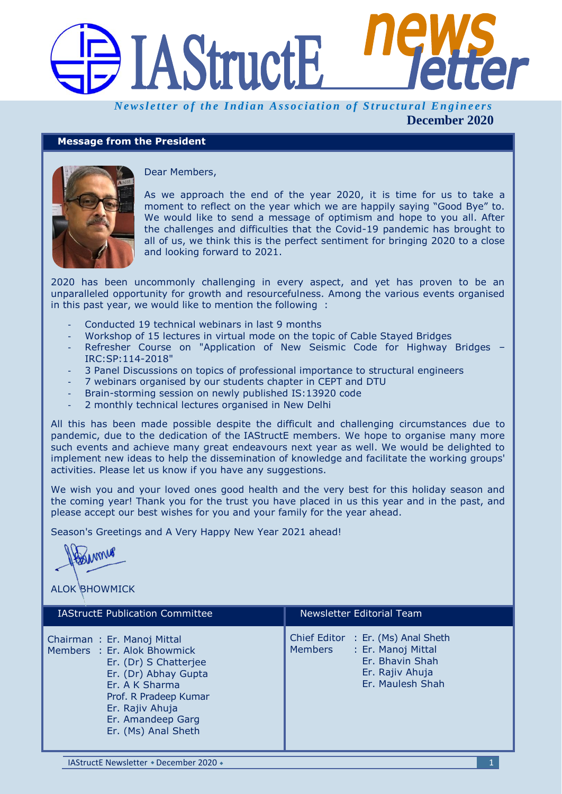

*Newsletter of the Indian Association of Structural Engineers* **December 2020**

# **Message from the President**



Dear Members,

As we approach the end of the year 2020, it is time for us to take a moment to reflect on the year which we are happily saying "Good Bye" to. We would like to send a message of optimism and hope to you all. After the challenges and difficulties that the Covid-19 pandemic has brought to all of us, we think this is the perfect sentiment for bringing 2020 to a close and looking forward to 2021.

2020 has been uncommonly challenging in every aspect, and yet has proven to be an unparalleled opportunity for growth and resourcefulness. Among the various events organised in this past year, we would like to mention the following :

- Conducted 19 technical webinars in last 9 months
- Workshop of 15 lectures in virtual mode on the topic of Cable Stayed Bridges
- Refresher Course on "Application of New Seismic Code for Highway Bridges IRC:SP:114-2018"
- 3 Panel Discussions on topics of professional importance to structural engineers
- 7 webinars organised by our students chapter in CEPT and DTU
- Brain-storming session on newly published IS:13920 code
- 2 monthly technical lectures organised in New Delhi

All this has been made possible despite the difficult and challenging circumstances due to pandemic, due to the dedication of the IAStructE members. We hope to organise many more such events and achieve many great endeavours next year as well. We would be delighted to implement new ideas to help the dissemination of knowledge and facilitate the working groups' activities. Please let us know if you have any suggestions.

We wish you and your loved ones good health and the very best for this holiday season and the coming year! Thank you for the trust you have placed in us this year and in the past, and please accept our best wishes for you and your family for the year ahead.

Season's Greetings and A Very Happy New Year 2021 ahead!

 $\mathcal{M}$ 

ALOK BHOWMICK

| <b>IAStructE Publication Committee</b>                                                                                                                                                                               | Newsletter Editorial Team                                                                                                     |
|----------------------------------------------------------------------------------------------------------------------------------------------------------------------------------------------------------------------|-------------------------------------------------------------------------------------------------------------------------------|
| Chairman: Er. Manoj Mittal<br>Members : Er. Alok Bhowmick<br>Er. (Dr) S Chatterjee<br>Er. (Dr) Abhay Gupta<br>Er. A K Sharma<br>Prof. R Pradeep Kumar<br>Er. Rajiv Ahuja<br>Er. Amandeep Garg<br>Er. (Ms) Anal Sheth | Chief Editor : Er. (Ms) Anal Sheth<br>: Er. Manoj Mittal<br>Members<br>Er. Bhavin Shah<br>Er. Rajiv Ahuja<br>Er. Maulesh Shah |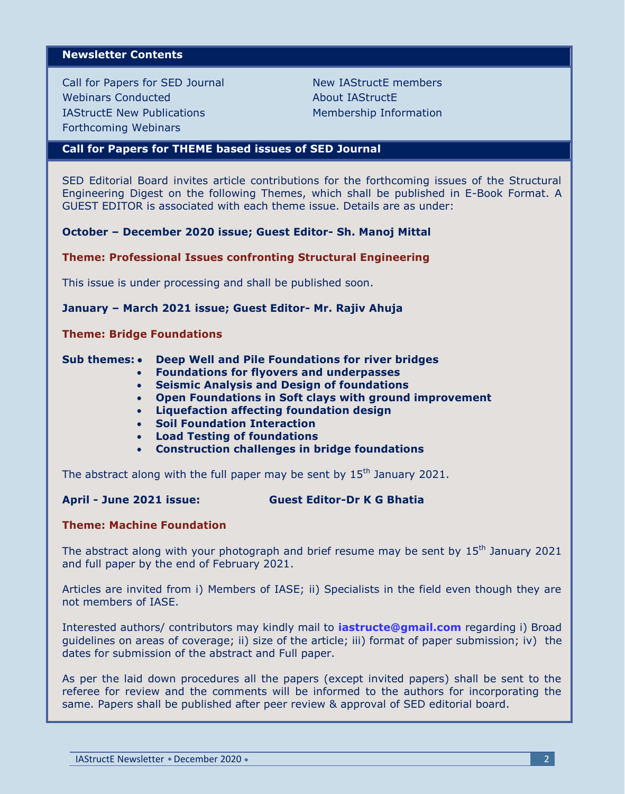### **Newsletter Contents**

Call for Papers for SED Journal Webinars Conducted IAStructE New Publications Forthcoming Webinars

New IAStructE members About IAStructE Membership Information

### **Call for Papers for THEME based issues of SED Journal**

SED Editorial Board invites article contributions for the forthcoming issues of the Structural Engineering Digest on the following Themes, which shall be published in E-Book Format. A GUEST EDITOR is associated with each theme issue. Details are as under:

**October – December 2020 issue; Guest Editor- Sh. Manoj Mittal**

#### **Theme: Professional Issues confronting Structural Engineering**

This issue is under processing and shall be published soon.

### **January – March 2021 issue; Guest Editor- Mr. Rajiv Ahuja**

#### **Theme: Bridge Foundations**

#### **Sub themes: • Deep Well and Pile Foundations for river bridges**

- **Foundations for flyovers and underpasses**
- **Seismic Analysis and Design of foundations**
- **Open Foundations in Soft clays with ground improvement**
- **Liquefaction affecting foundation design**
- **Soil Foundation Interaction**
- **Load Testing of foundations**
- **Construction challenges in bridge foundations**

The abstract along with the full paper may be sent by 15<sup>th</sup> January 2021.

### **April - June 2021 issue: Guest Editor-Dr K G Bhatia**

### **Theme: Machine Foundation**

The abstract along with your photograph and brief resume may be sent by  $15<sup>th</sup>$  January 2021 and full paper by the end of February 2021.

Articles are invited from i) Members of IASE; ii) Specialists in the field even though they are not members of IASE.

Interested authors/ contributors may kindly mail to **[iastructe@gmail.com](mailto:iastructe@gmail.com)** regarding i) Broad guidelines on areas of coverage; ii) size of the article; iii) format of paper submission; iv) the dates for submission of the abstract and Full paper.

As per the laid down procedures all the papers (except invited papers) shall be sent to the referee for review and the comments will be informed to the authors for incorporating the same. Papers shall be published after peer review & approval of SED editorial board.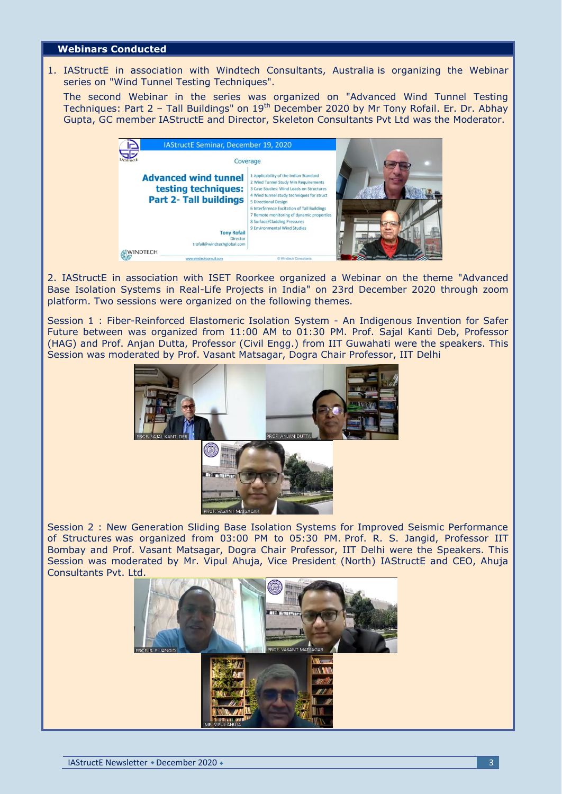### **Webinars Conducted**

1. IAStructE in association with Windtech Consultants, Australia is organizing the Webinar series on "Wind Tunnel Testing Techniques".

The second Webinar in the series was organized on "Advanced Wind Tunnel Testing Techniques: Part 2 – Tall Buildings" on  $19<sup>th</sup>$  December 2020 by Mr Tony Rofail. Er. Dr. Abhay Gupta, GC member IAStructE and Director, Skeleton Consultants Pvt Ltd was the Moderator.



2. IAStructE in association with ISET Roorkee organized a Webinar on the theme "Advanced Base Isolation Systems in Real-Life Projects in India" on 23rd December 2020 through zoom platform. Two sessions were organized on the following themes.

Session 1 : Fiber-Reinforced Elastomeric Isolation System - An Indigenous Invention for Safer Future between was organized from 11:00 AM to 01:30 PM. Prof. Sajal Kanti Deb, Professor (HAG) and Prof. Anjan Dutta, Professor (Civil Engg.) from IIT Guwahati were the speakers. This Session was moderated by Prof. Vasant Matsagar, Dogra Chair Professor, IIT Delhi



Session 2 : New Generation Sliding Base Isolation Systems for Improved Seismic Performance of Structures was organized from 03:00 PM to 05:30 PM. Prof. R. S. Jangid, Professor IIT Bombay and Prof. Vasant Matsagar, Dogra Chair Professor, IIT Delhi were the Speakers. This Session was moderated by Mr. Vipul Ahuja, Vice President (North) IAStructE and CEO, Ahuja Consultants Pvt. Ltd.

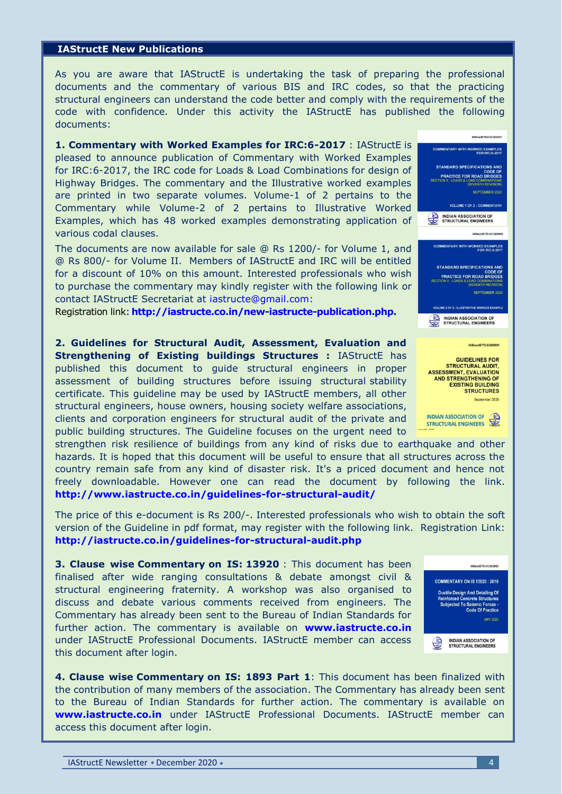### **IAStructE New Publications**

As you are aware that IAStructE is undertaking the task of preparing the professional documents and the commentary of various BIS and IRC codes, so that the practicing structural engineers can understand the code better and comply with the requirements of the code with confidence. Under this activity the IAStructE has published the following documents:

**1. Commentary with Worked Examples for IRC:6-2017** : IAStructE is pleased to announce publication of Commentary with Worked Examples for IRC:6-2017, the IRC code for Loads & Load Combinations for design of Highway Bridges. The commentary and the Illustrative worked examples are printed in two separate volumes. Volume-1 of 2 pertains to the Commentary while Volume-2 of 2 pertains to Illustrative Worked Examples, which has 48 worked examples demonstrating application of various codal clauses.

The documents are now available for sale @ Rs 1200/- for Volume 1, and @ Rs 800/- for Volume II. Members of IAStructE and IRC will be entitled for a discount of 10% on this amount. Interested professionals who wish to purchase the commentary may kindly register with the following link or contact IAStructE Secretariat at [iastructe@gmail.com:](mailto:iastructe@gmail.com)

Registration link: **[http://iastructe.co.in/new-iastructe-publication.php.](http://iastructe.co.in/new-iastructe-publication.php)**

**2. Guidelines for Structural Audit, Assessment, Evaluation and Strengthening of Existing buildings Structures : IAStructE has** published this document to guide structural engineers in proper assessment of building structures before issuing structural stability certificate. This guideline may be used by IAStructE members, all other structural engineers, house owners, housing society welfare associations, clients and corporation engineers for structural audit of the private and public building structures. The Guideline focuses on the urgent need to

strengthen risk resilience of buildings from any kind of risks due to earthquake and other hazards. It is hoped that this document will be useful to ensure that all structures across the country remain safe from any kind of disaster risk. It's a priced document and hence not freely downloadable. However one can read the document by following the link. **<http://www.iastructe.co.in/guidelines-for-structural-audit/>**

The price of this e-document is Rs 200/-. Interested professionals who wish to obtain the soft version of the Guideline in pdf format, may register with the following link. Registration Link: **<http://iastructe.co.in/guidelines-for-structural-audit.php>**

**3. Clause wise Commentary on IS: 13920** : This document has been finalised after wide ranging consultations & debate amongst civil & structural engineering fraternity. A workshop was also organised to discuss and debate various comments received from engineers. The Commentary has already been sent to the Bureau of Indian Standards for further action. The commentary is available on **[www.iastructe.co.in](http://www.iastructe.co.in/)** under IAStructE Professional Documents. IAStructE member can access this document after login.

**4. Clause wise Commentary on IS: 1893 Part 1**: This document has been finalized with the contribution of many members of the association. The Commentary has already been sent to the Bureau of Indian Standards for further action. The commentary is available on **[www.iastructe.co.in](http://www.iastructe.co.in/)** under IAStructE Professional Documents. IAStructE member can access this document after login.



INDIAN ASSOCIATION OF

September 2020

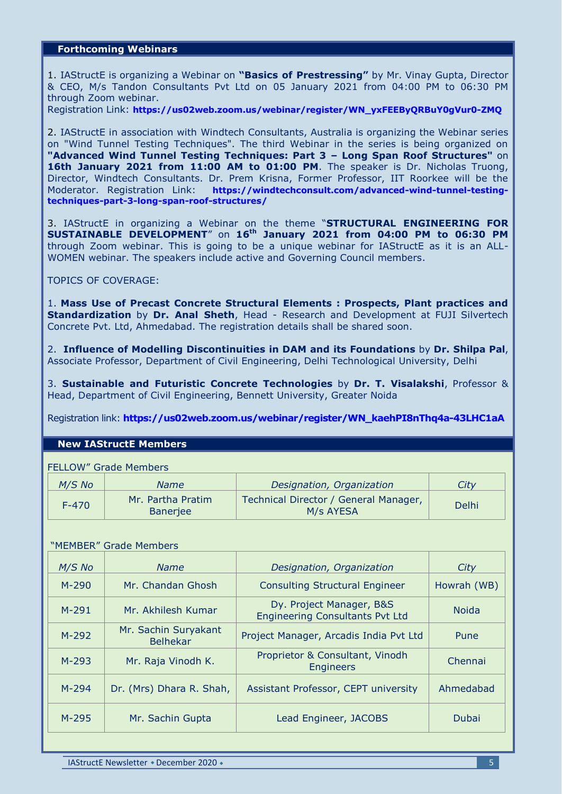## **Forthcoming Webinars**

1. IAStructE is organizing a Webinar on **"Basics of Prestressing"** by Mr. Vinay Gupta, Director & CEO, M/s Tandon Consultants Pvt Ltd on 05 January 2021 from 04:00 PM to 06:30 PM through Zoom webinar.

Registration Link: **[https://us02web.zoom.us/webinar/register/WN\\_yxFEEByQRBuY0gVur0-ZMQ](https://us02web.zoom.us/webinar/register/WN_yxFEEByQRBuY0gVur0-ZMQ)**

2. IAStructE in association with Windtech Consultants, Australia is organizing the Webinar series on "Wind Tunnel Testing Techniques". The third Webinar in the series is being organized on **"Advanced Wind Tunnel Testing Techniques: Part 3 – Long Span Roof Structures"** on **16th January 2021 from 11:00 AM to 01:00 PM.** The speaker is Dr. Nicholas Truong, Director, Windtech Consultants. Dr. Prem Krisna, Former Professor, IIT Roorkee will be the Moderator. Registration Link: **[https://windtechconsult.com/advanced-wind-tunnel-testing](https://windtechconsult.com/advanced-wind-tunnel-testing-techniques-part-3-long-span-roof-structures/)[techniques-part-3-long-span-roof-structures/](https://windtechconsult.com/advanced-wind-tunnel-testing-techniques-part-3-long-span-roof-structures/)**

3. IAStructE in organizing a Webinar on the theme "**STRUCTURAL ENGINEERING FOR SUSTAINABLE DEVELOPMENT**" on **16th January 2021 from 04:00 PM to 06:30 PM** through Zoom webinar. This is going to be a unique webinar for IAStructE as it is an ALL-WOMEN webinar. The speakers include active and Governing Council members.

TOPICS OF COVERAGE:

1. **Mass Use of Precast Concrete Structural Elements : Prospects, Plant practices and Standardization** by **Dr. Anal Sheth**, Head - Research and Development at FUJI Silvertech Concrete Pvt. Ltd, Ahmedabad. The registration details shall be shared soon.

2. **Influence of Modelling Discontinuities in DAM and its Foundations** by **Dr. Shilpa Pal**, Associate Professor, Department of Civil Engineering, Delhi Technological University, Delhi

3. **Sustainable and Futuristic Concrete Technologies** by **Dr. T. Visalakshi**, Professor & Head, Department of Civil Engineering, Bennett University, Greater Noida

Registration link: **[https://us02web.zoom.us/webinar/register/WN\\_kaehPI8nThq4a-43LHC1aA](https://us02web.zoom.us/webinar/register/WN_kaehPI8nThq4a-43LHC1aA)**

### **New IAStructE Members**

FELLOW" Grade Members

| $M/S$ No  | <i>Name</i>                   | Designation, Organization                          | City         |
|-----------|-------------------------------|----------------------------------------------------|--------------|
| $F - 470$ | Mr. Partha Pratim<br>Banerjee | Technical Director / General Manager,<br>M/s AYESA | <b>Delhi</b> |

### "MEMBER" Grade Members

| $M/S$ No  | <b>Name</b>                             | Designation, Organization                                          | City         |
|-----------|-----------------------------------------|--------------------------------------------------------------------|--------------|
| $M - 290$ | Mr. Chandan Ghosh                       | <b>Consulting Structural Engineer</b>                              | Howrah (WB)  |
| $M - 291$ | Mr. Akhilesh Kumar                      | Dy. Project Manager, B&S<br><b>Engineering Consultants Pvt Ltd</b> | <b>Noida</b> |
| $M-292$   | Mr. Sachin Suryakant<br><b>Belhekar</b> | Project Manager, Arcadis India Pvt Ltd                             | Pune         |
| $M - 293$ | Mr. Raja Vinodh K.                      | Proprietor & Consultant, Vinodh<br><b>Engineers</b>                | Chennai      |
| $M - 294$ | Dr. (Mrs) Dhara R. Shah,                | Assistant Professor, CEPT university                               | Ahmedabad    |
| $M-295$   | Mr. Sachin Gupta                        | Lead Engineer, JACOBS                                              | Dubai        |